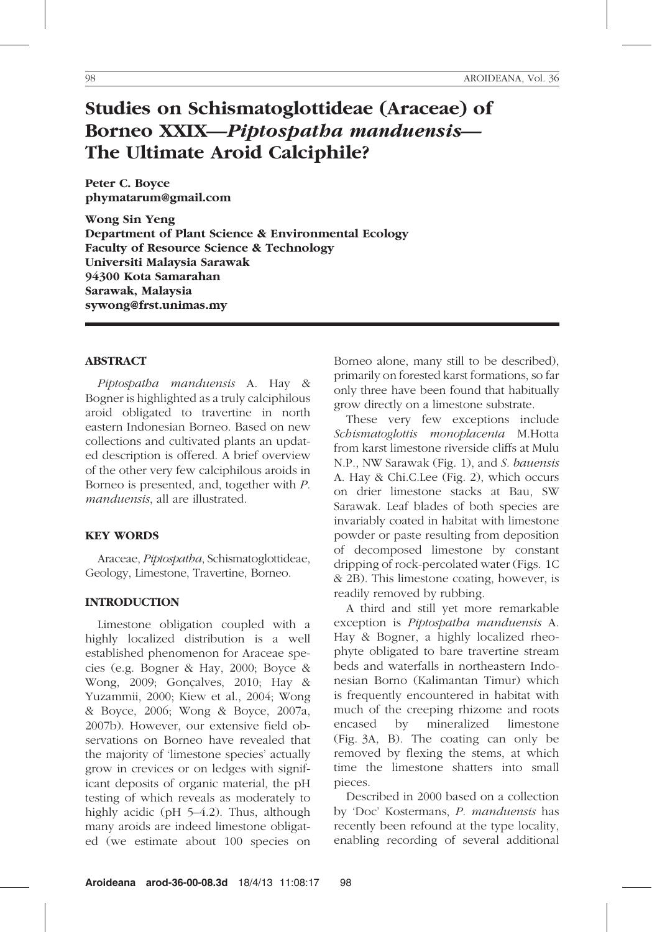# Studies on Schismatoglottideae (Araceae) of Borneo XXIX—Piptospatha manduensis— The Ultimate Aroid Calciphile?

Peter C. Boyce phymatarum@gmail.com

Wong Sin Yeng Department of Plant Science & Environmental Ecology Faculty of Resource Science & Technology Universiti Malaysia Sarawak 94300 Kota Samarahan Sarawak, Malaysia sywong@frst.unimas.my

#### ABSTRACT

Piptospatha manduensis A. Hay & Bogner is highlighted as a truly calciphilous aroid obligated to travertine in north eastern Indonesian Borneo. Based on new collections and cultivated plants an updated description is offered. A brief overview of the other very few calciphilous aroids in Borneo is presented, and, together with P. manduensis, all are illustrated.

# KEY WORDS

Araceae, Piptospatha, Schismatoglottideae, Geology, Limestone, Travertine, Borneo.

# INTRODUCTION

Limestone obligation coupled with a highly localized distribution is a well established phenomenon for Araceae species (e.g. Bogner & Hay, 2000; Boyce & Wong, 2009; Gonçalves, 2010; Hay & Yuzammii, 2000; Kiew et al., 2004; Wong & Boyce, 2006; Wong & Boyce, 2007a, 2007b). However, our extensive field observations on Borneo have revealed that the majority of 'limestone species' actually grow in crevices or on ledges with significant deposits of organic material, the pH testing of which reveals as moderately to highly acidic (pH 5–4.2). Thus, although many aroids are indeed limestone obligated (we estimate about 100 species on

Borneo alone, many still to be described), primarily on forested karst formations, so far only three have been found that habitually grow directly on a limestone substrate.

These very few exceptions include Schismatoglottis monoplacenta M.Hotta from karst limestone riverside cliffs at Mulu N.P., NW Sarawak (Fig. 1), and S. bauensis A. Hay & Chi.C.Lee (Fig. 2), which occurs on drier limestone stacks at Bau, SW Sarawak. Leaf blades of both species are invariably coated in habitat with limestone powder or paste resulting from deposition of decomposed limestone by constant dripping of rock-percolated water (Figs. 1C & 2B). This limestone coating, however, is readily removed by rubbing.

A third and still yet more remarkable exception is Piptospatha manduensis A. Hay & Bogner, a highly localized rheophyte obligated to bare travertine stream beds and waterfalls in northeastern Indonesian Borno (Kalimantan Timur) which is frequently encountered in habitat with much of the creeping rhizome and roots encased by mineralized limestone (Fig. 3A, B). The coating can only be removed by flexing the stems, at which time the limestone shatters into small pieces.

Described in 2000 based on a collection by 'Doc' Kostermans, P. manduensis has recently been refound at the type locality, enabling recording of several additional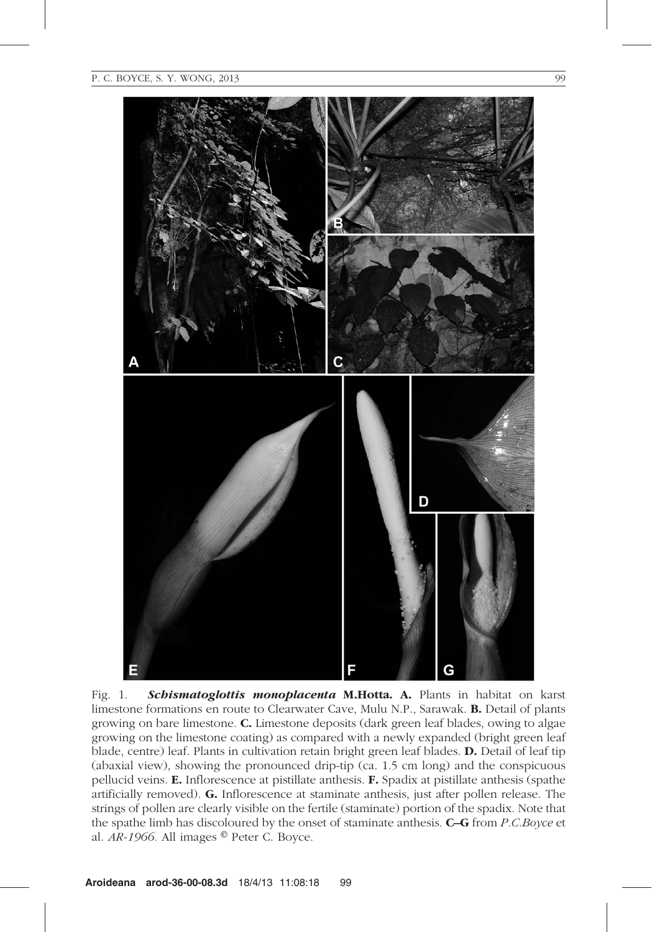

Fig. 1. Schismatoglottis monoplacenta M.Hotta. A. Plants in habitat on karst limestone formations en route to Clearwater Cave, Mulu N.P., Sarawak. B. Detail of plants growing on bare limestone. C. Limestone deposits (dark green leaf blades, owing to algae growing on the limestone coating) as compared with a newly expanded (bright green leaf blade, centre) leaf. Plants in cultivation retain bright green leaf blades. D. Detail of leaf tip (abaxial view), showing the pronounced drip-tip (ca. 1.5 cm long) and the conspicuous pellucid veins. E. Inflorescence at pistillate anthesis. F. Spadix at pistillate anthesis (spathe artificially removed). G. Inflorescence at staminate anthesis, just after pollen release. The strings of pollen are clearly visible on the fertile (staminate) portion of the spadix. Note that the spathe limb has discoloured by the onset of staminate anthesis. C–G from P.C.Boyce et al.  $AR-1966$ . All images  $^{\circ}$  Peter C. Boyce.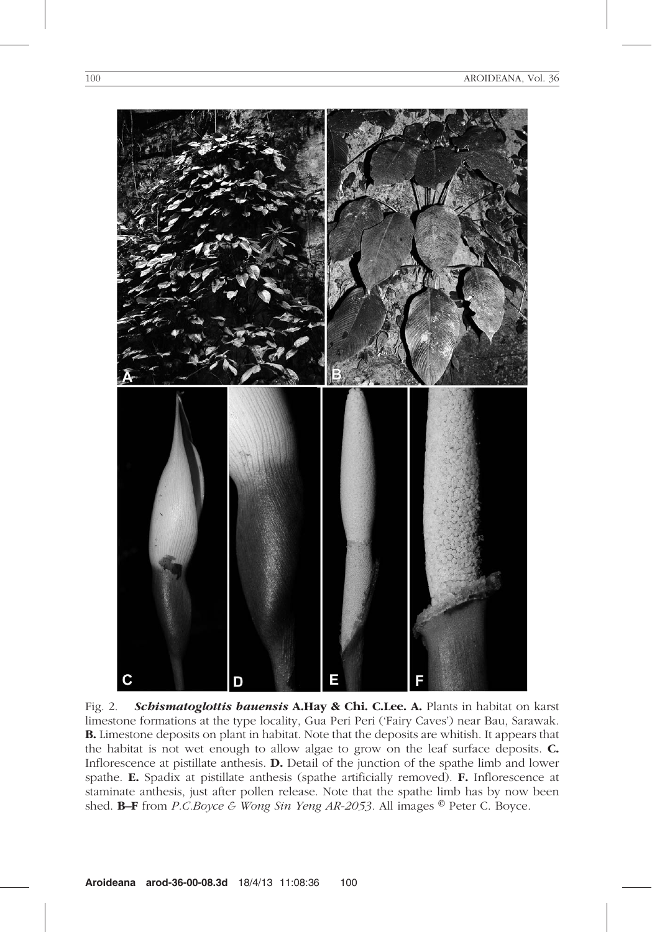

Fig. 2. Schismatoglottis bauensis A.Hay & Chi. C.Lee. A. Plants in habitat on karst limestone formations at the type locality, Gua Peri Peri ('Fairy Caves') near Bau, Sarawak. B. Limestone deposits on plant in habitat. Note that the deposits are whitish. It appears that the habitat is not wet enough to allow algae to grow on the leaf surface deposits. C. Inflorescence at pistillate anthesis. D. Detail of the junction of the spathe limb and lower spathe. E. Spadix at pistillate anthesis (spathe artificially removed). F. Inflorescence at staminate anthesis, just after pollen release. Note that the spathe limb has by now been shed. **B–F** from *P.C.Boyce & Wong Sin Yeng AR-2053*. All images  $^{\circ}$  Peter C. Boyce.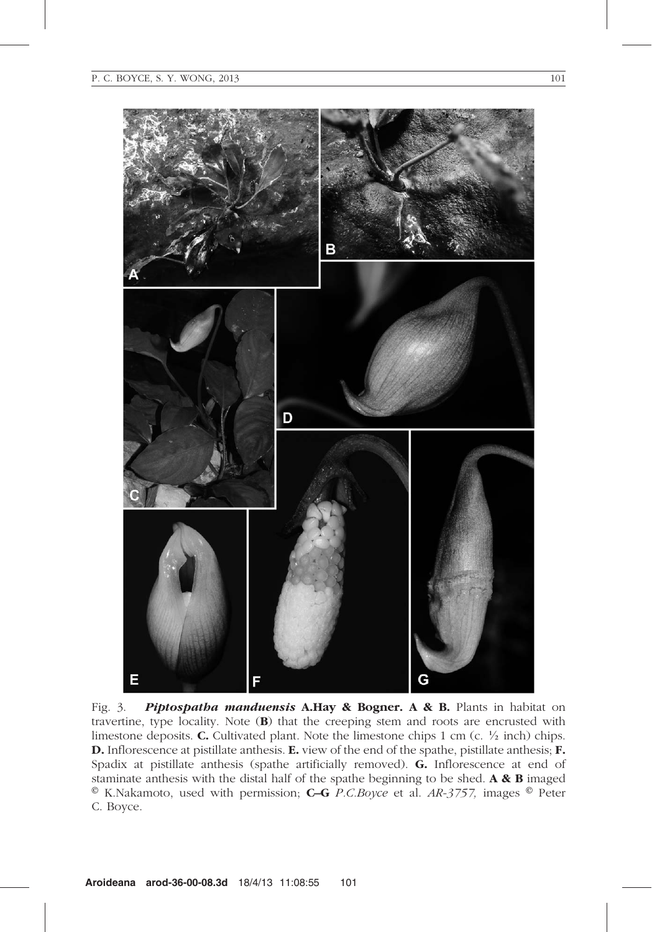E



Fig. 3. Piptospatha manduensis A.Hay & Bogner. A & B. Plants in habitat on travertine, type locality. Note (B) that the creeping stem and roots are encrusted with limestone deposits. **C.** Cultivated plant. Note the limestone chips 1 cm (c.  $\frac{1}{2}$  inch) chips. D. Inflorescence at pistillate anthesis. E. view of the end of the spathe, pistillate anthesis; F. Spadix at pistillate anthesis (spathe artificially removed). G. Inflorescence at end of staminate anthesis with the distal half of the spathe beginning to be shed. A & B imaged  $\textdegree$  K.Nakamoto, used with permission; C–G P.C.Boyce et al. AR-3757, images  $\textdegree$  Peter C. Boyce.

G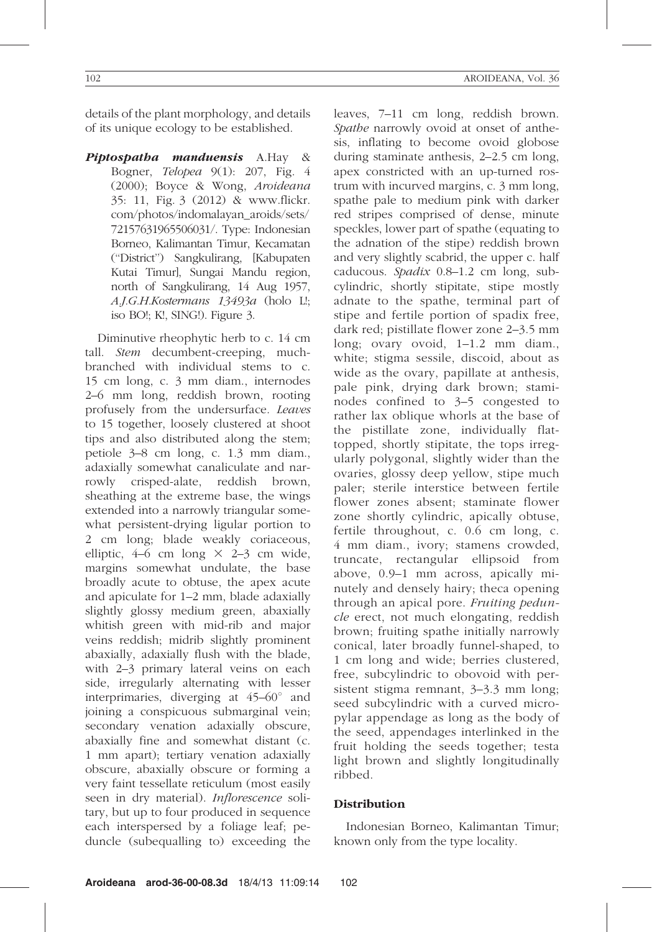details of the plant morphology, and details of its unique ecology to be established.

Piptospatha manduensis A.Hay & Bogner, Telopea 9(1): 207, Fig. 4 (2000); Boyce & Wong, Aroideana 35: 11, Fig. 3 (2012) & www.flickr. com/photos/indomalayan\_aroids/sets/ 72157631965506031/. Type: Indonesian Borneo, Kalimantan Timur, Kecamatan (''District'') Sangkulirang, [Kabupaten Kutai Timur], Sungai Mandu region, north of Sangkulirang, 14 Aug 1957, A.J.G.H.Kostermans 13493a (holo L!; iso BO!; K!, SING!). Figure 3.

Diminutive rheophytic herb to c. 14 cm tall. *Stem* decumbent-creeping, muchbranched with individual stems to c. 15 cm long, c. 3 mm diam., internodes 2–6 mm long, reddish brown, rooting profusely from the undersurface. Leaves to 15 together, loosely clustered at shoot tips and also distributed along the stem; petiole 3–8 cm long, c. 1.3 mm diam., adaxially somewhat canaliculate and narrowly crisped-alate, reddish brown, sheathing at the extreme base, the wings extended into a narrowly triangular somewhat persistent-drying ligular portion to 2 cm long; blade weakly coriaceous, elliptic,  $4-6$  cm long  $\times$  2–3 cm wide, margins somewhat undulate, the base broadly acute to obtuse, the apex acute and apiculate for 1–2 mm, blade adaxially slightly glossy medium green, abaxially whitish green with mid-rib and major veins reddish; midrib slightly prominent abaxially, adaxially flush with the blade, with 2–3 primary lateral veins on each side, irregularly alternating with lesser interprimaries, diverging at  $45-60^{\circ}$  and joining a conspicuous submarginal vein; secondary venation adaxially obscure, abaxially fine and somewhat distant (c. 1 mm apart); tertiary venation adaxially obscure, abaxially obscure or forming a very faint tessellate reticulum (most easily seen in dry material). Inflorescence solitary, but up to four produced in sequence each interspersed by a foliage leaf; peduncle (subequalling to) exceeding the leaves, 7–11 cm long, reddish brown. Spathe narrowly ovoid at onset of anthesis, inflating to become ovoid globose during staminate anthesis, 2–2.5 cm long, apex constricted with an up-turned rostrum with incurved margins, c. 3 mm long, spathe pale to medium pink with darker red stripes comprised of dense, minute speckles, lower part of spathe (equating to the adnation of the stipe) reddish brown and very slightly scabrid, the upper c. half caducous. Spadix 0.8–1.2 cm long, subcylindric, shortly stipitate, stipe mostly adnate to the spathe, terminal part of stipe and fertile portion of spadix free, dark red; pistillate flower zone 2–3.5 mm long; ovary ovoid, 1–1.2 mm diam., white; stigma sessile, discoid, about as wide as the ovary, papillate at anthesis, pale pink, drying dark brown; staminodes confined to 3–5 congested to rather lax oblique whorls at the base of the pistillate zone, individually flattopped, shortly stipitate, the tops irregularly polygonal, slightly wider than the ovaries, glossy deep yellow, stipe much paler; sterile interstice between fertile flower zones absent; staminate flower zone shortly cylindric, apically obtuse, fertile throughout, c. 0.6 cm long, c. 4 mm diam., ivory; stamens crowded, truncate, rectangular ellipsoid from above, 0.9–1 mm across, apically minutely and densely hairy; theca opening through an apical pore. Fruiting peduncle erect, not much elongating, reddish brown; fruiting spathe initially narrowly conical, later broadly funnel-shaped, to 1 cm long and wide; berries clustered, free, subcylindric to obovoid with persistent stigma remnant, 3–3.3 mm long; seed subcylindric with a curved micropylar appendage as long as the body of the seed, appendages interlinked in the fruit holding the seeds together; testa light brown and slightly longitudinally ribbed.

# Distribution

Indonesian Borneo, Kalimantan Timur; known only from the type locality.